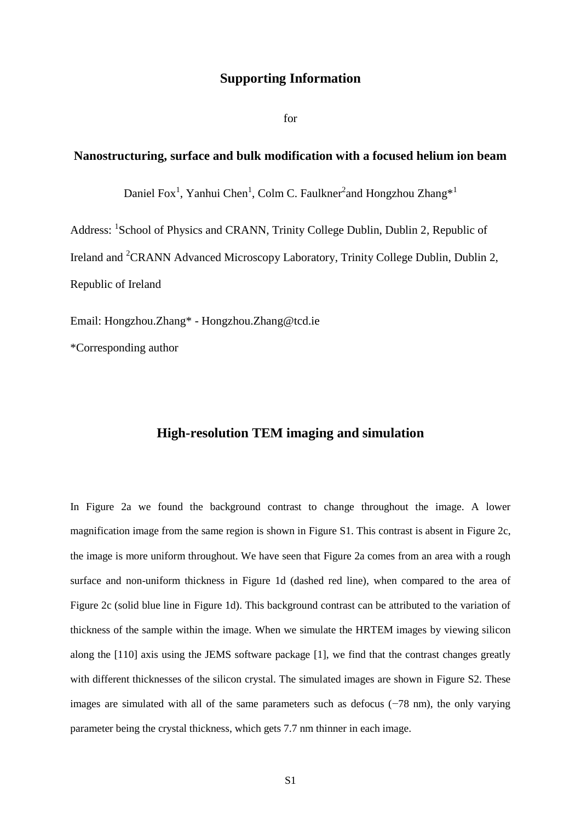## **Supporting Information**

for

## **Nanostructuring, surface and bulk modification with a focused helium ion beam**

Daniel Fox<sup>1</sup>, Yanhui Chen<sup>1</sup>, Colm C. Faulkner<sup>2</sup>and Hongzhou Zhang\*<sup>1</sup>

Address: <sup>1</sup>School of Physics and CRANN, Trinity College Dublin, Dublin 2, Republic of Ireland and <sup>2</sup>CRANN Advanced Microscopy Laboratory, Trinity College Dublin, Dublin 2, Republic of Ireland

Email: Hongzhou.Zhang\* - Hongzhou.Zhang@tcd.ie

\*Corresponding author

## **High-resolution TEM imaging and simulation**

In Figure 2a we found the background contrast to change throughout the image. A lower magnification image from the same region is shown in Figure S1. This contrast is absent in Figure 2c, the image is more uniform throughout. We have seen that Figure 2a comes from an area with a rough surface and non-uniform thickness in Figure 1d (dashed red line), when compared to the area of Figure 2c (solid blue line in Figure 1d). This background contrast can be attributed to the variation of thickness of the sample within the image. When we simulate the HRTEM images by viewing silicon along the [110] axis using the JEMS software package [\[1\]](#page-3-0), we find that the contrast changes greatly with different thicknesses of the silicon crystal. The simulated images are shown in Figure S2. These images are simulated with all of the same parameters such as defocus (−78 nm), the only varying parameter being the crystal thickness, which gets 7.7 nm thinner in each image.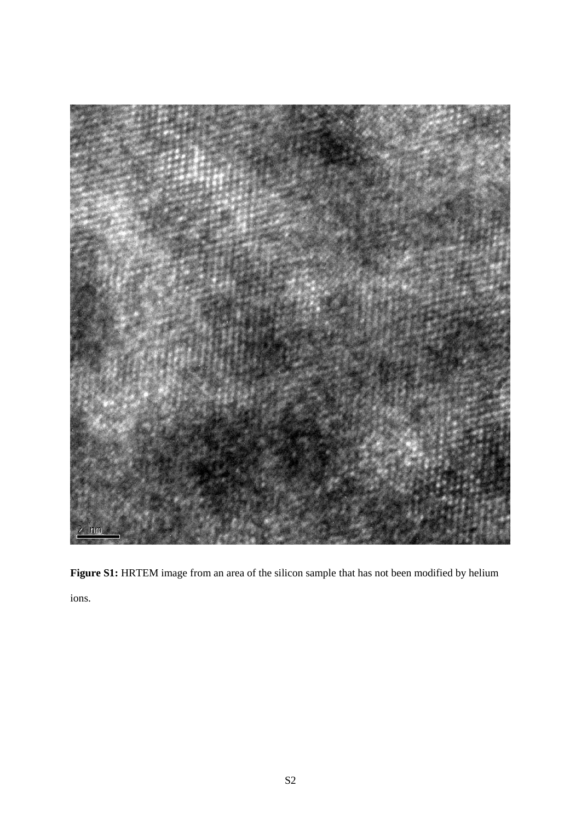

**Figure S1:** HRTEM image from an area of the silicon sample that has not been modified by helium ions.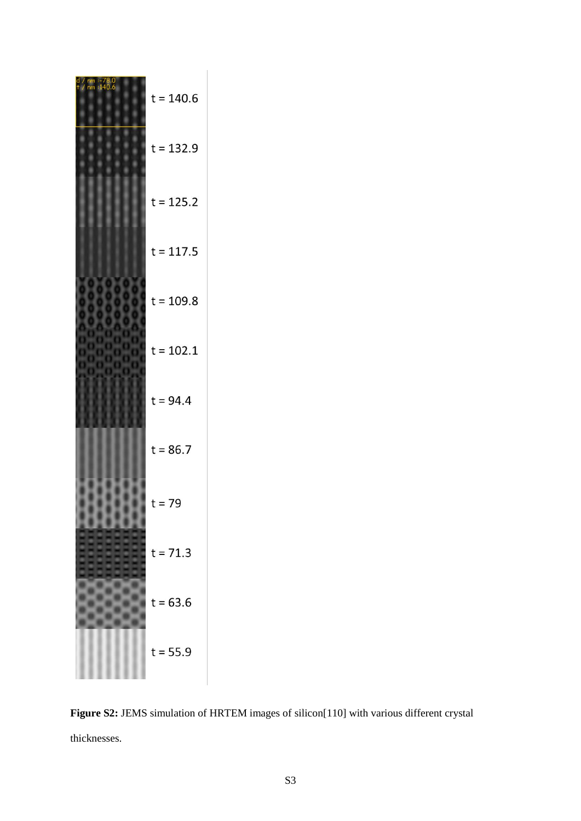| $t = 140.6$ |
|-------------|
| $t = 132.9$ |
| $t = 125.2$ |
| $t = 117.5$ |
| $t = 109.8$ |
| $t = 102.1$ |
| $t = 94.4$  |
| $t = 86.7$  |
| $t = 79$    |
| $t = 71.3$  |
| $t = 63.6$  |
| $t = 55.9$  |

**Figure S2:** JEMS simulation of HRTEM images of silicon[110] with various different crystal thicknesses.